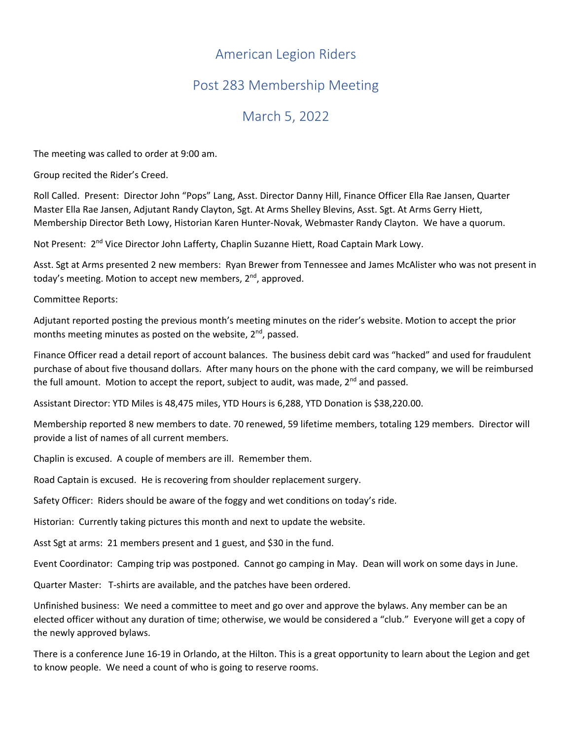## American Legion Riders

## Post 283 Membership Meeting

## March 5, 2022

The meeting was called to order at 9:00 am.

Group recited the Rider's Creed.

Roll Called. Present: Director John "Pops" Lang, Asst. Director Danny Hill, Finance Officer Ella Rae Jansen, Quarter Master Ella Rae Jansen, Adjutant Randy Clayton, Sgt. At Arms Shelley Blevins, Asst. Sgt. At Arms Gerry Hiett, Membership Director Beth Lowy, Historian Karen Hunter-Novak, Webmaster Randy Clayton. We have a quorum.

Not Present: 2<sup>nd</sup> Vice Director John Lafferty, Chaplin Suzanne Hiett, Road Captain Mark Lowy.

Asst. Sgt at Arms presented 2 new members: Ryan Brewer from Tennessee and James McAlister who was not present in today's meeting. Motion to accept new members, 2<sup>nd</sup>, approved.

Committee Reports:

Adjutant reported posting the previous month's meeting minutes on the rider's website. Motion to accept the prior months meeting minutes as posted on the website,  $2^{nd}$ , passed.

Finance Officer read a detail report of account balances. The business debit card was "hacked" and used for fraudulent purchase of about five thousand dollars. After many hours on the phone with the card company, we will be reimbursed the full amount. Motion to accept the report, subject to audit, was made, 2<sup>nd</sup> and passed.

Assistant Director: YTD Miles is 48,475 miles, YTD Hours is 6,288, YTD Donation is \$38,220.00.

Membership reported 8 new members to date. 70 renewed, 59 lifetime members, totaling 129 members. Director will provide a list of names of all current members.

Chaplin is excused. A couple of members are ill. Remember them.

Road Captain is excused. He is recovering from shoulder replacement surgery.

Safety Officer: Riders should be aware of the foggy and wet conditions on today's ride.

Historian: Currently taking pictures this month and next to update the website.

Asst Sgt at arms: 21 members present and 1 guest, and \$30 in the fund.

Event Coordinator: Camping trip was postponed. Cannot go camping in May. Dean will work on some days in June.

Quarter Master: T-shirts are available, and the patches have been ordered.

Unfinished business: We need a committee to meet and go over and approve the bylaws. Any member can be an elected officer without any duration of time; otherwise, we would be considered a "club." Everyone will get a copy of the newly approved bylaws.

There is a conference June 16-19 in Orlando, at the Hilton. This is a great opportunity to learn about the Legion and get to know people. We need a count of who is going to reserve rooms.